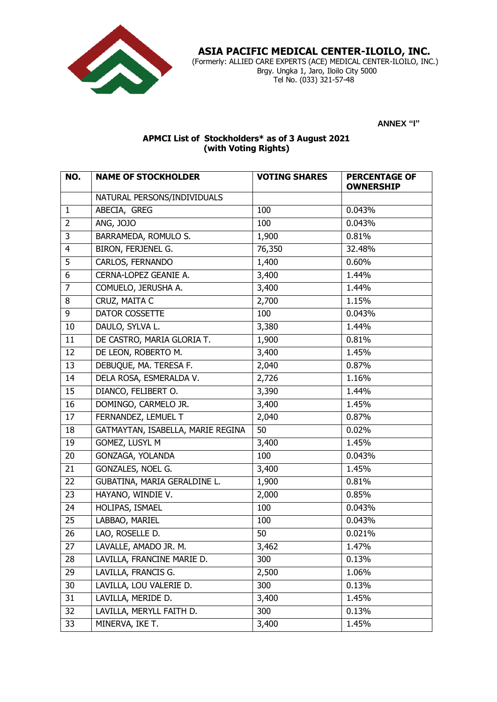

 **ASIA PACIFIC MEDICAL CENTER-ILOILO, INC.**

 (Formerly: ALLIED CARE EXPERTS (ACE) MEDICAL CENTER-ILOILO, INC.) Brgy. Ungka 1, Jaro, Iloilo City 5000 Tel No. (033) 321-57-48

**ANNEX "I"**

## **APMCI List of Stockholders\* as of 3 August 2021 (with Voting Rights)**

| NO.            | <b>NAME OF STOCKHOLDER</b>        | <b>VOTING SHARES</b> | <b>PERCENTAGE OF</b><br><b>OWNERSHIP</b> |
|----------------|-----------------------------------|----------------------|------------------------------------------|
|                | NATURAL PERSONS/INDIVIDUALS       |                      |                                          |
| $\mathbf{1}$   | ABECIA, GREG                      | 100                  | 0.043%                                   |
| $\overline{2}$ | ANG, JOJO                         | 100                  | 0.043%                                   |
| 3              | BARRAMEDA, ROMULO S.              | 1,900                | 0.81%                                    |
| $\overline{4}$ | BIRON, FERJENEL G.                | 76,350               | 32.48%                                   |
| 5              | CARLOS, FERNANDO                  | 1,400                | 0.60%                                    |
| 6              | CERNA-LOPEZ GEANIE A.             | 3,400                | 1.44%                                    |
| $\overline{7}$ | COMUELO, JERUSHA A.               | 3,400                | 1.44%                                    |
| 8              | CRUZ, MAITA C                     | 2,700                | 1.15%                                    |
| 9              | DATOR COSSETTE                    | 100                  | 0.043%                                   |
| 10             | DAULO, SYLVA L.                   | 3,380                | 1.44%                                    |
| 11             | DE CASTRO, MARIA GLORIA T.        | 1,900                | 0.81%                                    |
| 12             | DE LEON, ROBERTO M.               | 3,400                | 1.45%                                    |
| 13             | DEBUQUE, MA. TERESA F.            | 2,040                | 0.87%                                    |
| 14             | DELA ROSA, ESMERALDA V.           | 2,726                | 1.16%                                    |
| 15             | DIANCO, FELIBERT O.               | 3,390                | 1.44%                                    |
| 16             | DOMINGO, CARMELO JR.              | 3,400                | 1.45%                                    |
| 17             | FERNANDEZ, LEMUEL T               | 2,040                | 0.87%                                    |
| 18             | GATMAYTAN, ISABELLA, MARIE REGINA | 50                   | 0.02%                                    |
| 19             | GOMEZ, LUSYL M                    | 3,400                | 1.45%                                    |
| 20             | GONZAGA, YOLANDA                  | 100                  | 0.043%                                   |
| 21             | GONZALES, NOEL G.                 | 3,400                | 1.45%                                    |
| 22             | GUBATINA, MARIA GERALDINE L.      | 1,900                | 0.81%                                    |
| 23             | HAYANO, WINDIE V.                 | 2,000                | 0.85%                                    |
| 24             | HOLIPAS, ISMAEL                   | 100                  | 0.043%                                   |
| 25             | LABBAO, MARIEL                    | 100                  | 0.043%                                   |
| 26             | LAO, ROSELLE D.                   | 50                   | 0.021%                                   |
| 27             | LAVALLE, AMADO JR. M.             | 3,462                | 1.47%                                    |
| 28             | LAVILLA, FRANCINE MARIE D.        | 300                  | 0.13%                                    |
| 29             | LAVILLA, FRANCIS G.               | 2,500                | 1.06%                                    |
| 30             | LAVILLA, LOU VALERIE D.           | 300                  | 0.13%                                    |
| 31             | LAVILLA, MERIDE D.                | 3,400                | 1.45%                                    |
| 32             | LAVILLA, MERYLL FAITH D.          | 300                  | 0.13%                                    |
| 33             | MINERVA, IKE T.                   | 3,400                | 1.45%                                    |